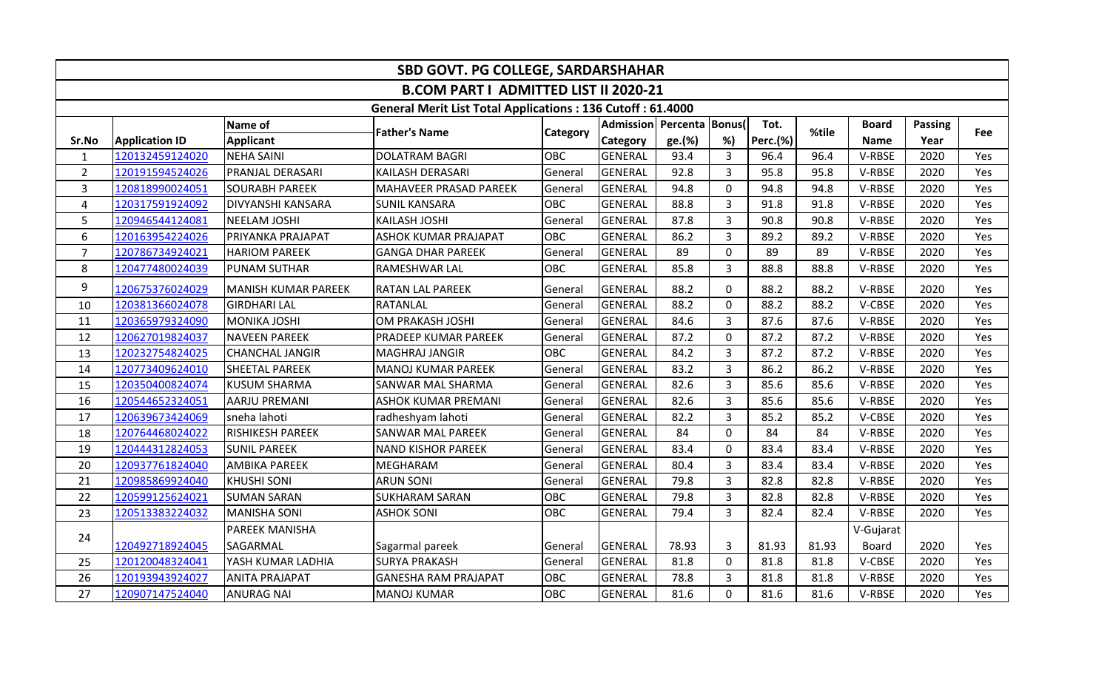| <b>SBD GOVT. PG COLLEGE, SARDARSHAHAR</b> |                       |                          |                                                                   |                 |                 |                           |                |                 |       |              |         |     |  |
|-------------------------------------------|-----------------------|--------------------------|-------------------------------------------------------------------|-----------------|-----------------|---------------------------|----------------|-----------------|-------|--------------|---------|-----|--|
|                                           |                       |                          | <b>B.COM PART I ADMITTED LIST II 2020-21</b>                      |                 |                 |                           |                |                 |       |              |         |     |  |
|                                           |                       |                          | <b>General Merit List Total Applications: 136 Cutoff: 61.4000</b> |                 |                 |                           |                |                 |       |              |         |     |  |
|                                           |                       | Name of                  | <b>Father's Name</b>                                              |                 |                 | Admission Percenta Bonus( |                | Tot.            | %tile | <b>Board</b> | Passing |     |  |
| Sr.No                                     | <b>Application ID</b> | <b>Applicant</b>         |                                                                   | <b>Category</b> | <b>Category</b> | ge.(%)                    | %)             | <b>Perc.(%)</b> |       | <b>Name</b>  | Year    | Fee |  |
| $\mathbf{1}$                              | 120132459124020       | NEHA SAINI               | DOLATRAM BAGRI                                                    | OBC             | <b>GENERAL</b>  | 93.4                      | $\overline{3}$ | 96.4            | 96.4  | V-RBSE       | 2020    | Yes |  |
| $\overline{2}$                            | 120191594524026       | <b>PRANJAL DERASARI</b>  | KAILASH DERASARI                                                  | General         | <b>GENERAL</b>  | 92.8                      | $\overline{3}$ | 95.8            | 95.8  | V-RBSE       | 2020    | Yes |  |
| $\overline{3}$                            | 120818990024051       | <b>SOURABH PAREEK</b>    | MAHAVEER PRASAD PAREEK                                            | General         | GENERAL         | 94.8                      | 0              | 94.8            | 94.8  | V-RBSE       | 2020    | Yes |  |
| 4                                         | 120317591924092       | <b>DIVYANSHI KANSARA</b> | <b>SUNIL KANSARA</b>                                              | <b>OBC</b>      | <b>GENERAL</b>  | 88.8                      | $\overline{3}$ | 91.8            | 91.8  | V-RBSE       | 2020    | Yes |  |
| 5                                         | 120946544124081       | NEELAM JOSHI             | <b>KAILASH JOSHI</b>                                              | General         | GENERAL         | 87.8                      | $\overline{3}$ | 90.8            | 90.8  | V-RBSE       | 2020    | Yes |  |
| 6                                         | 120163954224026       | PRIYANKA PRAJAPAT        | <b>ASHOK KUMAR PRAJAPAT</b>                                       | OBC             | <b>GENERAL</b>  | 86.2                      | 3              | 89.2            | 89.2  | V-RBSE       | 2020    | Yes |  |
| $\overline{7}$                            | 120786734924021       | <b>HARIOM PAREEK</b>     | <b>GANGA DHAR PAREEK</b>                                          | General         | <b>GENERAL</b>  | 89                        | $\mathbf{0}$   | 89              | 89    | V-RBSE       | 2020    | Yes |  |
| 8                                         | 120477480024039       | <b>PUNAM SUTHAR</b>      | <b>RAMESHWAR LAL</b>                                              | <b>OBC</b>      | <b>GENERAL</b>  | 85.8                      | $\overline{3}$ | 88.8            | 88.8  | V-RBSE       | 2020    | Yes |  |
| 9                                         | 120675376024029       | MANISH KUMAR PAREEK      | <b>RATAN LAL PAREEK</b>                                           | General         | <b>GENERAL</b>  | 88.2                      | 0              | 88.2            | 88.2  | V-RBSE       | 2020    | Yes |  |
| 10                                        | 120381366024078       | <b>GIRDHARI LAL</b>      | RATANLAL                                                          | General         | GENERAL         | 88.2                      | $\mathbf 0$    | 88.2            | 88.2  | V-CBSE       | 2020    | Yes |  |
| 11                                        | 120365979324090       | MONIKA JOSHI             | OM PRAKASH JOSHI                                                  | General         | <b>GENERAL</b>  | 84.6                      | $\overline{3}$ | 87.6            | 87.6  | V-RBSE       | 2020    | Yes |  |
| 12                                        | 120627019824037       | <b>NAVEEN PAREEK</b>     | <b>PRADEEP KUMAR PAREEK</b>                                       | General         | <b>GENERAL</b>  | 87.2                      | 0              | 87.2            | 87.2  | V-RBSE       | 2020    | Yes |  |
| 13                                        | 120232754824025       | <b>CHANCHAL JANGIR</b>   | MAGHRAJ JANGIR                                                    | OBC             | <b>GENERAL</b>  | 84.2                      | $\overline{3}$ | 87.2            | 87.2  | V-RBSE       | 2020    | Yes |  |
| 14                                        | 120773409624010       | <b>SHEETAL PAREEK</b>    | MANOJ KUMAR PAREEK                                                | General         | <b>GENERAL</b>  | 83.2                      | $\overline{3}$ | 86.2            | 86.2  | V-RBSE       | 2020    | Yes |  |
| 15                                        | 120350400824074       | <b>KUSUM SHARMA</b>      | <b>SANWAR MAL SHARMA</b>                                          | General         | <b>GENERAL</b>  | 82.6                      | 3              | 85.6            | 85.6  | V-RBSE       | 2020    | Yes |  |
| 16                                        | 120544652324051       | <b>AARJU PREMANI</b>     | <b>ASHOK KUMAR PREMANI</b>                                        | General         | <b>GENERAL</b>  | 82.6                      | $\overline{3}$ | 85.6            | 85.6  | V-RBSE       | 2020    | Yes |  |
| 17                                        | 120639673424069       | sneha lahoti             | radheshyam lahoti                                                 | General         | <b>GENERAL</b>  | 82.2                      | $\overline{3}$ | 85.2            | 85.2  | V-CBSE       | 2020    | Yes |  |
| 18                                        | 120764468024022       | <b>RISHIKESH PAREEK</b>  | <b>SANWAR MAL PAREEK</b>                                          | General         | <b>GENERAL</b>  | 84                        | $\Omega$       | 84              | 84    | V-RBSE       | 2020    | Yes |  |
| 19                                        | 120444312824053       | <b>SUNIL PAREEK</b>      | <b>NAND KISHOR PAREEK</b>                                         | General         | <b>GENERAL</b>  | 83.4                      | $\mathbf 0$    | 83.4            | 83.4  | V-RBSE       | 2020    | Yes |  |
| 20                                        | 120937761824040       | <b>AMBIKA PAREEK</b>     | MEGHARAM                                                          | General         | <b>GENERAL</b>  | 80.4                      | 3              | 83.4            | 83.4  | V-RBSE       | 2020    | Yes |  |
| 21                                        | 120985869924040       | <b>KHUSHI SONI</b>       | <b>ARUN SONI</b>                                                  | General         | <b>GENERAL</b>  | 79.8                      | $\overline{3}$ | 82.8            | 82.8  | V-RBSE       | 2020    | Yes |  |
| 22                                        | 120599125624021       | <b>SUMAN SARAN</b>       | <b>SUKHARAM SARAN</b>                                             | <b>OBC</b>      | <b>GENERAL</b>  | 79.8                      | 3              | 82.8            | 82.8  | V-RBSE       | 2020    | Yes |  |
| 23                                        | 120513383224032       | MANISHA SONI             | <b>ASHOK SONI</b>                                                 | <b>OBC</b>      | <b>GENERAL</b>  | 79.4                      | $\overline{3}$ | 82.4            | 82.4  | V-RBSE       | 2020    | Yes |  |
| 24                                        |                       | <b>PAREEK MANISHA</b>    |                                                                   |                 |                 |                           |                |                 |       | V-Gujarat    |         |     |  |
|                                           | 120492718924045       | SAGARMAL                 | Sagarmal pareek                                                   | General         | GENERAL         | 78.93                     | 3              | 81.93           | 81.93 | <b>Board</b> | 2020    | Yes |  |
| 25                                        | 120120048324041       | YASH KUMAR LADHIA        | <b>SURYA PRAKASH</b>                                              | General         | <b>GENERAL</b>  | 81.8                      | $\mathbf 0$    | 81.8            | 81.8  | V-CBSE       | 2020    | Yes |  |
| 26                                        | 120193943924027       | <b>ANITA PRAJAPAT</b>    | <b>GANESHA RAM PRAJAPAT</b>                                       | OBC             | <b>GENERAL</b>  | 78.8                      | 3              | 81.8            | 81.8  | V-RBSE       | 2020    | Yes |  |
| 27                                        | 120907147524040       | <b>ANURAG NAI</b>        | MANOJ KUMAR                                                       | <b>OBC</b>      | <b>GENERAL</b>  | 81.6                      | $\Omega$       | 81.6            | 81.6  | V-RBSE       | 2020    | Yes |  |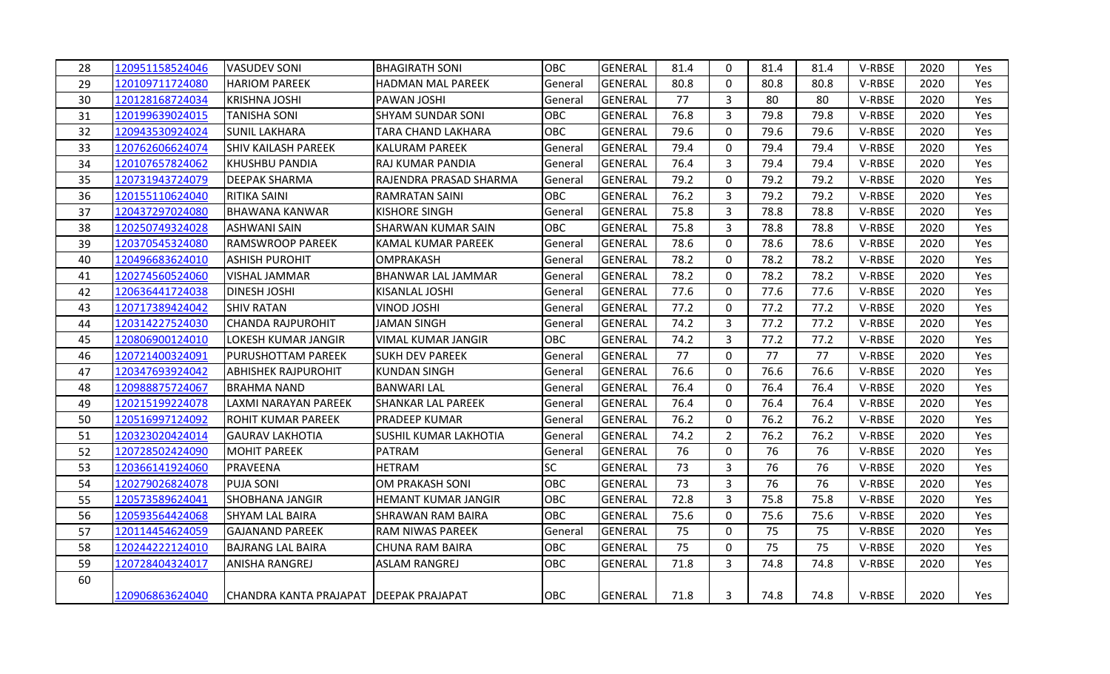| 28 | 120951158524046 | VASUDEV SONI                             | <b>BHAGIRATH SONI</b>      | <b>OBC</b> | GENERAL        | 81.4 | $\mathbf{0}$   | 81.4 | 81.4 | V-RBSE | 2020 | <b>Yes</b> |
|----|-----------------|------------------------------------------|----------------------------|------------|----------------|------|----------------|------|------|--------|------|------------|
| 29 | 120109711724080 | <b>HARIOM PAREEK</b>                     | <b>HADMAN MAL PAREEK</b>   | General    | GENERAL        | 80.8 | $\Omega$       | 80.8 | 80.8 | V-RBSE | 2020 | Yes        |
| 30 | 120128168724034 | <b>KRISHNA JOSHI</b>                     | PAWAN JOSHI                | General    | GENERAL        | 77   | $\overline{3}$ | 80   | 80   | V-RBSE | 2020 | Yes        |
| 31 | 120199639024015 | <b>TANISHA SONI</b>                      | <b>SHYAM SUNDAR SONI</b>   | <b>OBC</b> | <b>GENERAL</b> | 76.8 | $\overline{3}$ | 79.8 | 79.8 | V-RBSE | 2020 | Yes        |
| 32 | 120943530924024 | <b>SUNIL LAKHARA</b>                     | TARA CHAND LAKHARA         | OBC        | <b>GENERAL</b> | 79.6 | $\Omega$       | 79.6 | 79.6 | V-RBSE | 2020 | Yes        |
| 33 | 120762606624074 | <b>SHIV KAILASH PAREEK</b>               | KALURAM PAREEK             | General    | <b>GENERAL</b> | 79.4 | $\mathbf 0$    | 79.4 | 79.4 | V-RBSE | 2020 | Yes        |
| 34 | 120107657824062 | <b>I</b> KHUSHBU PANDIA                  | RAJ KUMAR PANDIA           | General    | <b>GENERAL</b> | 76.4 | $\overline{3}$ | 79.4 | 79.4 | V-RBSE | 2020 | Yes        |
| 35 | 120731943724079 | <b>I</b> DEEPAK SHARMA                   | RAJENDRA PRASAD SHARMA     | General    | <b>GENERAL</b> | 79.2 | $\Omega$       | 79.2 | 79.2 | V-RBSE | 2020 | Yes        |
| 36 | 120155110624040 | <b>RITIKA SAINI</b>                      | <b>RAMRATAN SAINI</b>      | <b>OBC</b> | <b>GENERAL</b> | 76.2 | $\mathbf{3}$   | 79.2 | 79.2 | V-RBSE | 2020 | Yes        |
| 37 | 120437297024080 | <b>BHAWANA KANWAR</b>                    | <b>KISHORE SINGH</b>       | General    | GENERAL        | 75.8 | $\overline{3}$ | 78.8 | 78.8 | V-RBSE | 2020 | Yes        |
| 38 | 120250749324028 | IASHWANI SAIN                            | SHARWAN KUMAR SAIN         | <b>OBC</b> | <b>GENERAL</b> | 75.8 | $\overline{3}$ | 78.8 | 78.8 | V-RBSE | 2020 | Yes        |
| 39 | 120370545324080 | <b>RAMSWROOP PAREEK</b>                  | KAMAL KUMAR PAREEK         | General    | GENERAL        | 78.6 | $\mathbf 0$    | 78.6 | 78.6 | V-RBSE | 2020 | Yes        |
| 40 | 120496683624010 | <b>ASHISH PUROHIT</b>                    | OMPRAKASH                  | General    | <b>GENERAL</b> | 78.2 | $\mathbf 0$    | 78.2 | 78.2 | V-RBSE | 2020 | Yes        |
| 41 | 120274560524060 | VISHAL JAMMAR                            | BHANWAR LAL JAMMAR         | General    | <b>GENERAL</b> | 78.2 | $\mathbf{0}$   | 78.2 | 78.2 | V-RBSE | 2020 | Yes.       |
| 42 | 120636441724038 | <b>DINESH JOSHI</b>                      | KISANLAL JOSHI             | General    | <b>GENERAL</b> | 77.6 | $\mathbf 0$    | 77.6 | 77.6 | V-RBSE | 2020 | Yes        |
| 43 | 120717389424042 | <b>SHIV RATAN</b>                        | VINOD JOSHI                | General    | <b>GENERAL</b> | 77.2 | 0              | 77.2 | 77.2 | V-RBSE | 2020 | Yes        |
| 44 | 120314227524030 | <b>CHANDA RAJPUROHIT</b>                 | <b>JAMAN SINGH</b>         | General    | <b>GENERAL</b> | 74.2 | $\overline{3}$ | 77.2 | 77.2 | V-RBSE | 2020 | Yes        |
| 45 | 120806900124010 | <b>LOKESH KUMAR JANGIR</b>               | VIMAL KUMAR JANGIR         | <b>OBC</b> | <b>GENERAL</b> | 74.2 | $\overline{3}$ | 77.2 | 77.2 | V-RBSE | 2020 | Yes        |
| 46 | 120721400324091 | <b>I</b> PURUSHOTTAM PAREEK              | SUKH DEV PAREEK            | General    | GENERAL        | 77   | $\Omega$       | 77   | 77   | V-RBSE | 2020 | Yes        |
| 47 | 120347693924042 | <b>ABHISHEK RAJPUROHIT</b>               | <b>KUNDAN SINGH</b>        | General    | <b>GENERAL</b> | 76.6 | $\mathbf 0$    | 76.6 | 76.6 | V-RBSE | 2020 | Yes        |
| 48 | 120988875724067 | BRAHMA NAND                              | <b>BANWARI LAL</b>         | General    | <b>GENERAL</b> | 76.4 | $\Omega$       | 76.4 | 76.4 | V-RBSE | 2020 | Yes        |
| 49 | 120215199224078 | LAXMI NARAYAN PAREEK                     | SHANKAR LAL PAREEK         | General    | <b>GENERAL</b> | 76.4 | $\mathbf 0$    | 76.4 | 76.4 | V-RBSE | 2020 | Yes        |
| 50 | 120516997124092 | <b>ROHIT KUMAR PAREEK</b>                | PRADEEP KUMAR              | General    | GENERAL        | 76.2 | 0              | 76.2 | 76.2 | V-RBSE | 2020 | Yes        |
| 51 | 120323020424014 | <b>GAURAV LAKHOTIA</b>                   | SUSHIL KUMAR LAKHOTIA      | General    | <b>GENERAL</b> | 74.2 | $\overline{2}$ | 76.2 | 76.2 | V-RBSE | 2020 | Yes        |
| 52 | 120728502424090 | MOHIT PAREEK                             | PATRAM                     | General    | <b>GENERAL</b> | 76   | $\mathbf 0$    | 76   | 76   | V-RBSE | 2020 | Yes        |
| 53 | 120366141924060 | PRAVEENA                                 | <b>HETRAM</b>              | SC         | <b>GENERAL</b> | 73   | 3              | 76   | 76   | V-RBSE | 2020 | Yes        |
| 54 | 120279026824078 | IPUJA SONI                               | OM PRAKASH SONI            | OBC        | <b>GENERAL</b> | 73   | $\overline{3}$ | 76   | 76   | V-RBSE | 2020 | Yes        |
| 55 | 120573589624041 | <b>SHOBHANA JANGIR</b>                   | <b>HEMANT KUMAR JANGIR</b> | OBC        | <b>GENERAL</b> | 72.8 | $\overline{3}$ | 75.8 | 75.8 | V-RBSE | 2020 | Yes        |
| 56 | 120593564424068 | <b>SHYAM LAL BAIRA</b>                   | <b>SHRAWAN RAM BAIRA</b>   | <b>OBC</b> | <b>GENERAL</b> | 75.6 | $\Omega$       | 75.6 | 75.6 | V-RBSE | 2020 | Yes        |
| 57 | 120114454624059 | <b>GAJANAND PAREEK</b>                   | RAM NIWAS PAREEK           | General    | GENERAL        | 75   | $\mathbf 0$    | 75   | 75   | V-RBSE | 2020 | Yes        |
| 58 | 120244222124010 | <b>BAJRANG LAL BAIRA</b>                 | CHUNA RAM BAIRA            | <b>OBC</b> | <b>GENERAL</b> | 75   | 0              | 75   | 75   | V-RBSE | 2020 | Yes        |
| 59 | 120728404324017 | <b>ANISHA RANGREJ</b>                    | <b>ASLAM RANGREJ</b>       | OBC        | <b>GENERAL</b> | 71.8 | $\overline{3}$ | 74.8 | 74.8 | V-RBSE | 2020 | Yes        |
| 60 |                 |                                          |                            |            |                |      |                |      |      |        |      |            |
|    | 120906863624040 | CHANDRA KANTA PRAJAPAT   DEEPAK PRAJAPAT |                            | OBC        | <b>GENERAL</b> | 71.8 | $\mathbf{3}$   | 74.8 | 74.8 | V-RBSE | 2020 | Yes        |
|    |                 |                                          |                            |            |                |      |                |      |      |        |      |            |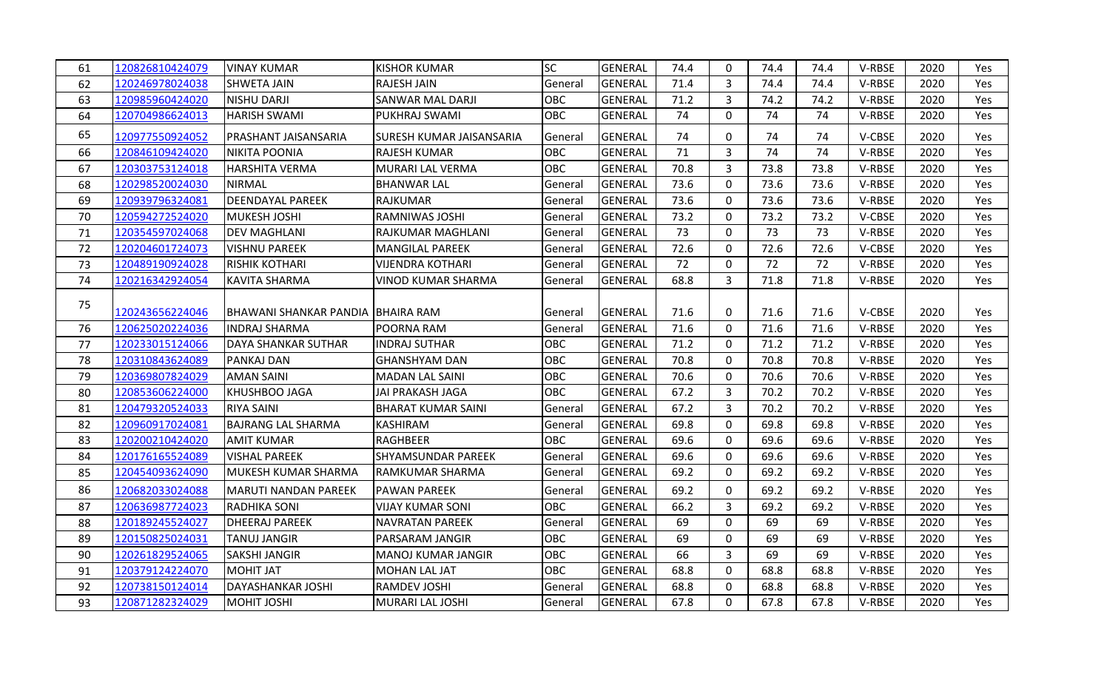| 61 | 120826810424079 | <b>VINAY KUMAR</b>                | <b>KISHOR KUMAR</b>             | <b>SC</b>  | <b>GENERAL</b> | 74.4 | 0              | 74.4 | 74.4 | V-RBSE | 2020 | Yes  |
|----|-----------------|-----------------------------------|---------------------------------|------------|----------------|------|----------------|------|------|--------|------|------|
| 62 | 120246978024038 | <b>SHWETA JAIN</b>                | <b>RAJESH JAIN</b>              | General    | <b>GENERAL</b> | 71.4 | 3              | 74.4 | 74.4 | V-RBSE | 2020 | Yes  |
| 63 | 120985960424020 | NISHU DARJI                       | <b>SANWAR MAL DARJI</b>         | OBC        | <b>GENERAL</b> | 71.2 | $\mathbf{3}$   | 74.2 | 74.2 | V-RBSE | 2020 | Yes  |
| 64 | 120704986624013 | <b>HARISH SWAMI</b>               | PUKHRAJ SWAMI                   | <b>OBC</b> | <b>GENERAL</b> | 74   | 0              | 74   | 74   | V-RBSE | 2020 | Yes  |
| 65 | 120977550924052 | <b>PRASHANT JAISANSARIA</b>       | <b>SURESH KUMAR JAISANSARIA</b> | General    | <b>GENERAL</b> | 74   | 0              | 74   | 74   | V-CBSE | 2020 | Yes. |
| 66 | 120846109424020 | <b>NIKITA POONIA</b>              | <b>RAJESH KUMAR</b>             | <b>OBC</b> | <b>GENERAL</b> | 71   | $\mathbf{3}$   | 74   | 74   | V-RBSE | 2020 | Yes. |
| 67 | 120303753124018 | HARSHITA VERMA                    | MURARI LAL VERMA                | <b>OBC</b> | <b>GENERAL</b> | 70.8 | $\overline{3}$ | 73.8 | 73.8 | V-RBSE | 2020 | Yes  |
| 68 | 120298520024030 | NIRMAL                            | <b>BHANWAR LAL</b>              | General    | <b>GENERAL</b> | 73.6 | $\overline{0}$ | 73.6 | 73.6 | V-RBSE | 2020 | Yes  |
| 69 | 120939796324081 | <b>DEENDAYAL PAREEK</b>           | RAJKUMAR                        | General    | <b>GENERAL</b> | 73.6 | $\mathbf 0$    | 73.6 | 73.6 | V-RBSE | 2020 | Yes  |
| 70 | 120594272524020 | MUKESH JOSHI                      | <b>RAMNIWAS JOSHI</b>           | General    | <b>GENERAL</b> | 73.2 | 0              | 73.2 | 73.2 | V-CBSE | 2020 | Yes  |
| 71 | 120354597024068 | <b>DEV MAGHLANI</b>               | <b>RAJKUMAR MAGHLANI</b>        | General    | <b>GENERAL</b> | 73   | 0              | 73   | 73   | V-RBSE | 2020 | Yes  |
| 72 | 120204601724073 | <b>VISHNU PAREEK</b>              | <b>MANGILAL PAREEK</b>          | General    | <b>GENERAL</b> | 72.6 | $\mathbf 0$    | 72.6 | 72.6 | V-CBSE | 2020 | Yes. |
| 73 | 120489190924028 | <b>RISHIK KOTHARI</b>             | <b>VIJENDRA KOTHARI</b>         | General    | <b>GENERAL</b> | 72   | $\mathbf 0$    | 72   | 72   | V-RBSE | 2020 | Yes  |
| 74 | 120216342924054 | <b>KAVITA SHARMA</b>              | <b>VINOD KUMAR SHARMA</b>       | General    | <b>GENERAL</b> | 68.8 | $\mathbf{3}$   | 71.8 | 71.8 | V-RBSE | 2020 | Yes  |
| 75 | 120243656224046 | BHAWANI SHANKAR PANDIA BHAIRA RAM |                                 | General    | <b>GENERAL</b> | 71.6 | 0              | 71.6 | 71.6 | V-CBSE | 2020 | Yes  |
| 76 | 120625020224036 | <b>INDRAJ SHARMA</b>              | POORNA RAM                      | General    | <b>GENERAL</b> | 71.6 | 0              | 71.6 | 71.6 | V-RBSE | 2020 | Yes  |
| 77 | 120233015124066 | <b>DAYA SHANKAR SUTHAR</b>        | <b>INDRAJ SUTHAR</b>            | OBC        | <b>GENERAL</b> | 71.2 | 0              | 71.2 | 71.2 | V-RBSE | 2020 | Yes  |
| 78 | 120310843624089 | <b>PANKAJ DAN</b>                 | <b>GHANSHYAM DAN</b>            | <b>OBC</b> | <b>GENERAL</b> | 70.8 | $\mathbf 0$    | 70.8 | 70.8 | V-RBSE | 2020 | Yes  |
| 79 | 120369807824029 | <b>AMAN SAINI</b>                 | MADAN LAL SAINI                 | <b>OBC</b> | <b>GENERAL</b> | 70.6 | $\mathbf 0$    | 70.6 | 70.6 | V-RBSE | 2020 | Yes  |
| 80 | 120853606224000 | KHUSHBOO JAGA                     | JAI PRAKASH JAGA                | <b>OBC</b> | <b>GENERAL</b> | 67.2 | $\overline{3}$ | 70.2 | 70.2 | V-RBSE | 2020 | Yes  |
| 81 | 120479320524033 | <b>RIYA SAINI</b>                 | <b>BHARAT KUMAR SAINI</b>       | General    | <b>GENERAL</b> | 67.2 | $\mathbf{3}$   | 70.2 | 70.2 | V-RBSE | 2020 | Yes  |
| 82 | 120960917024081 | <b>BAJRANG LAL SHARMA</b>         | KASHIRAM                        | General    | <b>GENERAL</b> | 69.8 | 0              | 69.8 | 69.8 | V-RBSE | 2020 | Yes  |
| 83 | 120200210424020 | <b>AMIT KUMAR</b>                 | RAGHBEER                        | <b>OBC</b> | <b>GENERAL</b> | 69.6 | 0              | 69.6 | 69.6 | V-RBSE | 2020 | Yes  |
| 84 | 120176165524089 | <b>VISHAL PAREEK</b>              | <b>SHYAMSUNDAR PAREEK</b>       | General    | <b>GENERAL</b> | 69.6 | $\mathbf 0$    | 69.6 | 69.6 | V-RBSE | 2020 | Yes. |
| 85 | 120454093624090 | MUKESH KUMAR SHARMA               | IRAMKUMAR SHARMA                | General    | <b>GENERAL</b> | 69.2 | 0              | 69.2 | 69.2 | V-RBSE | 2020 | Yes  |
| 86 | 120682033024088 | <b>MARUTI NANDAN PAREEK</b>       | <b>PAWAN PAREEK</b>             | General    | <b>GENERAL</b> | 69.2 | 0              | 69.2 | 69.2 | V-RBSE | 2020 | Yes  |
| 87 | 120636987724023 | <b>RADHIKA SONI</b>               | <b>VIJAY KUMAR SONI</b>         | <b>OBC</b> | <b>GENERAL</b> | 66.2 | $\mathbf{3}$   | 69.2 | 69.2 | V-RBSE | 2020 | Yes  |
| 88 | 120189245524027 | <b>DHEERAJ PAREEK</b>             | NAVRATAN PAREEK                 | General    | <b>GENERAL</b> | 69   | 0              | 69   | 69   | V-RBSE | 2020 | Yes. |
| 89 | 120150825024031 | <b>TANUJ JANGIR</b>               | PARSARAM JANGIR                 | <b>OBC</b> | <b>GENERAL</b> | 69   | 0              | 69   | 69   | V-RBSE | 2020 | Yes  |
| 90 | 120261829524065 | <b>SAKSHI JANGIR</b>              | MANOJ KUMAR JANGIR              | <b>OBC</b> | <b>GENERAL</b> | 66   | $\mathbf{3}$   | 69   | 69   | V-RBSE | 2020 | Yes  |
| 91 | 120379124224070 | <b>MOHIT JAT</b>                  | MOHAN LAL JAT                   | <b>OBC</b> | <b>GENERAL</b> | 68.8 | 0              | 68.8 | 68.8 | V-RBSE | 2020 | Yes  |
| 92 | 120738150124014 | DAYASHANKAR JOSHI                 | <b>RAMDEV JOSHI</b>             | General    | <b>GENERAL</b> | 68.8 | 0              | 68.8 | 68.8 | V-RBSE | 2020 | Yes  |
| 93 | 120871282324029 | <b>MOHIT JOSHI</b>                | MURARI LAL JOSHI                | General    | GENERAL        | 67.8 | $\overline{0}$ | 67.8 | 67.8 | V-RBSE | 2020 | Yes  |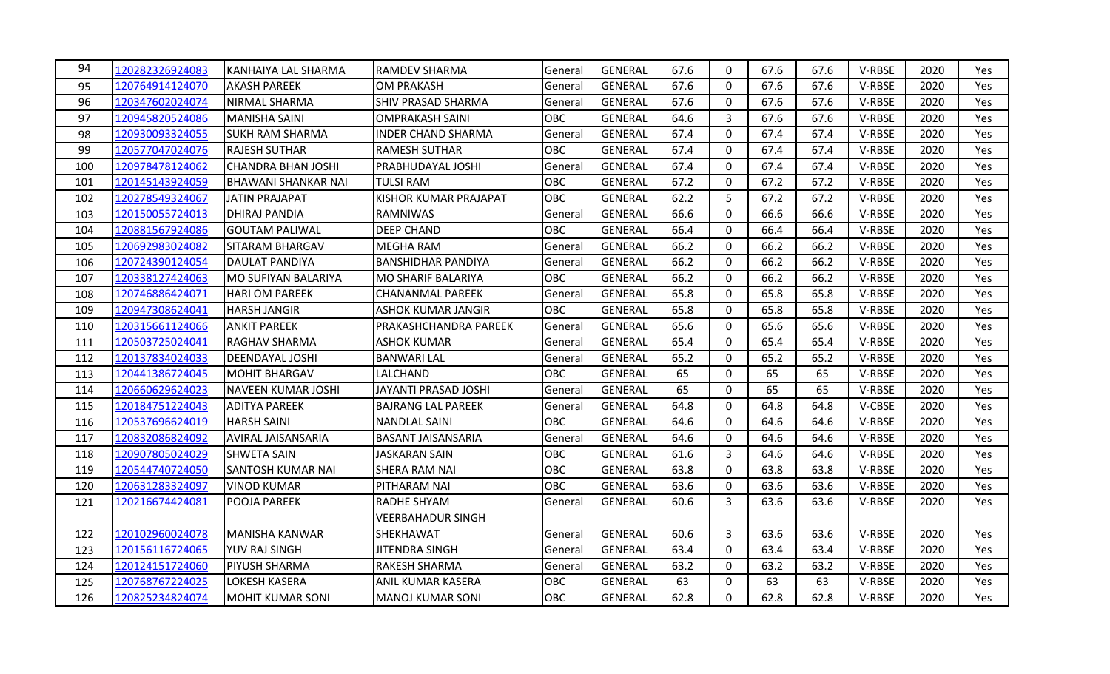| 94  | 120282326924083 | KANHAIYA LAL SHARMA        | RAMDEV SHARMA                | General    | GENERAL        | 67.6 | $\mathbf{0}$ | 67.6 | 67.6 | V-RBSE | 2020 | Yes        |
|-----|-----------------|----------------------------|------------------------------|------------|----------------|------|--------------|------|------|--------|------|------------|
| 95  | 120764914124070 | <b>AKASH PAREEK</b>        | <b>OM PRAKASH</b>            | General    | GENERAL        | 67.6 | 0            | 67.6 | 67.6 | V-RBSE | 2020 | Yes        |
| 96  | 120347602024074 | <b>NIRMAL SHARMA</b>       | <b>SHIV PRASAD SHARMA</b>    | General    | GENERAL        | 67.6 | $\mathbf{0}$ | 67.6 | 67.6 | V-RBSE | 2020 | Yes        |
| 97  | 120945820524086 | <b>MANISHA SAINI</b>       | <b>OMPRAKASH SAINI</b>       | OBC        | <b>GENERAL</b> | 64.6 | 3            | 67.6 | 67.6 | V-RBSE | 2020 | Yes        |
| 98  | 120930093324055 | <b>SUKH RAM SHARMA</b>     | INDER CHAND SHARMA           | General    | <b>GENERAL</b> | 67.4 | $\Omega$     | 67.4 | 67.4 | V-RBSE | 2020 | Yes        |
| 99  | 120577047024076 | <b>RAJESH SUTHAR</b>       | <b>RAMESH SUTHAR</b>         | OBC        | <b>GENERAL</b> | 67.4 | 0            | 67.4 | 67.4 | V-RBSE | 2020 | Yes        |
| 100 | 120978478124062 | <b>CHANDRA BHAN JOSHI</b>  | <b>PRABHUDAYAL JOSHI</b>     | General    | GENERAL        | 67.4 | 0            | 67.4 | 67.4 | V-RBSE | 2020 | Yes        |
| 101 | 120145143924059 | <b>BHAWANI SHANKAR NAI</b> | <b>TULSI RAM</b>             | <b>OBC</b> | <b>GENERAL</b> | 67.2 | $\mathbf 0$  | 67.2 | 67.2 | V-RBSE | 2020 | Yes        |
| 102 | 120278549324067 | <b>JATIN PRAJAPAT</b>      | <b>KISHOR KUMAR PRAJAPAT</b> | <b>OBC</b> | <b>GENERAL</b> | 62.2 | 5            | 67.2 | 67.2 | V-RBSE | 2020 | Yes        |
| 103 | 120150055724013 | DHIRAJ PANDIA              | <b>RAMNIWAS</b>              | General    | <b>GENERAL</b> | 66.6 | $\mathbf 0$  | 66.6 | 66.6 | V-RBSE | 2020 | Yes        |
| 104 | 120881567924086 | <b>GOUTAM PALIWAL</b>      | <b>DEEP CHAND</b>            | <b>OBC</b> | <b>GENERAL</b> | 66.4 | 0            | 66.4 | 66.4 | V-RBSE | 2020 | Yes        |
| 105 | 120692983024082 | SITARAM BHARGAV            | <b>MEGHA RAM</b>             | General    | GENERAL        | 66.2 | $\mathbf 0$  | 66.2 | 66.2 | V-RBSE | 2020 | Yes        |
| 106 | 120724390124054 | <b>DAULAT PANDIYA</b>      | <b>BANSHIDHAR PANDIYA</b>    | General    | GENERAL        | 66.2 | 0            | 66.2 | 66.2 | V-RBSE | 2020 | Yes        |
| 107 | 120338127424063 | <b>MO SUFIYAN BALARIYA</b> | <b>MO SHARIF BALARIYA</b>    | <b>OBC</b> | <b>GENERAL</b> | 66.2 | $\mathbf{0}$ | 66.2 | 66.2 | V-RBSE | 2020 | Yes        |
| 108 | 120746886424071 | <b>HARI OM PAREEK</b>      | <b>CHANANMAL PAREEK</b>      | General    | GENERAL        | 65.8 | $\mathbf 0$  | 65.8 | 65.8 | V-RBSE | 2020 | Yes        |
| 109 | 120947308624041 | <b>HARSH JANGIR</b>        | <b>ASHOK KUMAR JANGIR</b>    | <b>OBC</b> | <b>GENERAL</b> | 65.8 | 0            | 65.8 | 65.8 | V-RBSE | 2020 | Yes        |
| 110 | 120315661124066 | <b>ANKIT PAREEK</b>        | PRAKASHCHANDRA PAREEK        | General    | GENERAL        | 65.6 | $\mathbf{0}$ | 65.6 | 65.6 | V-RBSE | 2020 | Yes        |
| 111 | 120503725024041 | <b>RAGHAV SHARMA</b>       | <b>ASHOK KUMAR</b>           | General    | GENERAL        | 65.4 | 0            | 65.4 | 65.4 | V-RBSE | 2020 | Yes        |
| 112 | 120137834024033 | <b>DEENDAYAL JOSHI</b>     | <b>BANWARI LAL</b>           | General    | GENERAL        | 65.2 | $\mathbf 0$  | 65.2 | 65.2 | V-RBSE | 2020 | <b>Yes</b> |
| 113 | 120441386724045 | <b>MOHIT BHARGAV</b>       | <b>LALCHAND</b>              | <b>OBC</b> | <b>GENERAL</b> | 65   | 0            | 65   | 65   | V-RBSE | 2020 | Yes        |
| 114 | 120660629624023 | NAVEEN KUMAR JOSHI         | JAYANTI PRASAD JOSHI         | General    | <b>GENERAL</b> | 65   | $\mathbf{0}$ | 65   | 65   | V-RBSE | 2020 | Yes        |
| 115 | 120184751224043 | <b>ADITYA PAREEK</b>       | <b>BAJRANG LAL PAREEK</b>    | General    | GENERAL        | 64.8 | $\mathbf{0}$ | 64.8 | 64.8 | V-CBSE | 2020 | Yes        |
| 116 | 120537696624019 | <b>HARSH SAINI</b>         | <b>NANDLAL SAINI</b>         | <b>OBC</b> | <b>GENERAL</b> | 64.6 | $\mathbf 0$  | 64.6 | 64.6 | V-RBSE | 2020 | Yes        |
| 117 | 120832086824092 | AVIRAL JAISANSARIA         | <b>BASANT JAISANSARIA</b>    | General    | GENERAL        | 64.6 | $\mathbf 0$  | 64.6 | 64.6 | V-RBSE | 2020 | Yes        |
| 118 | 120907805024029 | <b>SHWETA SAIN</b>         | <b>JASKARAN SAIN</b>         | OBC        | GENERAL        | 61.6 | 3            | 64.6 | 64.6 | V-RBSE | 2020 | Yes        |
| 119 | 120544740724050 | <b>SANTOSH KUMAR NAI</b>   | SHERA RAM NAI                | OBC        | <b>GENERAL</b> | 63.8 | $\mathbf{0}$ | 63.8 | 63.8 | V-RBSE | 2020 | Yes        |
| 120 | 120631283324097 | <b>VINOD KUMAR</b>         | PITHARAM NAI                 | OBC        | <b>GENERAL</b> | 63.6 | 0            | 63.6 | 63.6 | V-RBSE | 2020 | Yes        |
| 121 | 120216674424081 | POOJA PAREEK               | <b>RADHE SHYAM</b>           | General    | GENERAL        | 60.6 | 3            | 63.6 | 63.6 | V-RBSE | 2020 | Yes        |
|     |                 |                            | <b>VEERBAHADUR SINGH</b>     |            |                |      |              |      |      |        |      |            |
| 122 | 120102960024078 | <b>MANISHA KANWAR</b>      | SHEKHAWAT                    | General    | GENERAL        | 60.6 | 3            | 63.6 | 63.6 | V-RBSE | 2020 | Yes        |
| 123 | 120156116724065 | YUV RAJ SINGH              | <b>JITENDRA SINGH</b>        | General    | GENERAL        | 63.4 | 0            | 63.4 | 63.4 | V-RBSE | 2020 | Yes        |
| 124 | 120124151724060 | PIYUSH SHARMA              | <b>RAKESH SHARMA</b>         | General    | <b>GENERAL</b> | 63.2 | 0            | 63.2 | 63.2 | V-RBSE | 2020 | Yes        |
| 125 | 120768767224025 | LOKESH KASERA              | <b>ANIL KUMAR KASERA</b>     | OBC        | <b>GENERAL</b> | 63   | 0            | 63   | 63   | V-RBSE | 2020 | Yes        |
| 126 | 120825234824074 | <b>MOHIT KUMAR SONI</b>    | MANOJ KUMAR SONI             | <b>OBC</b> | <b>GENERAL</b> | 62.8 | $\Omega$     | 62.8 | 62.8 | V-RBSE | 2020 | Yes        |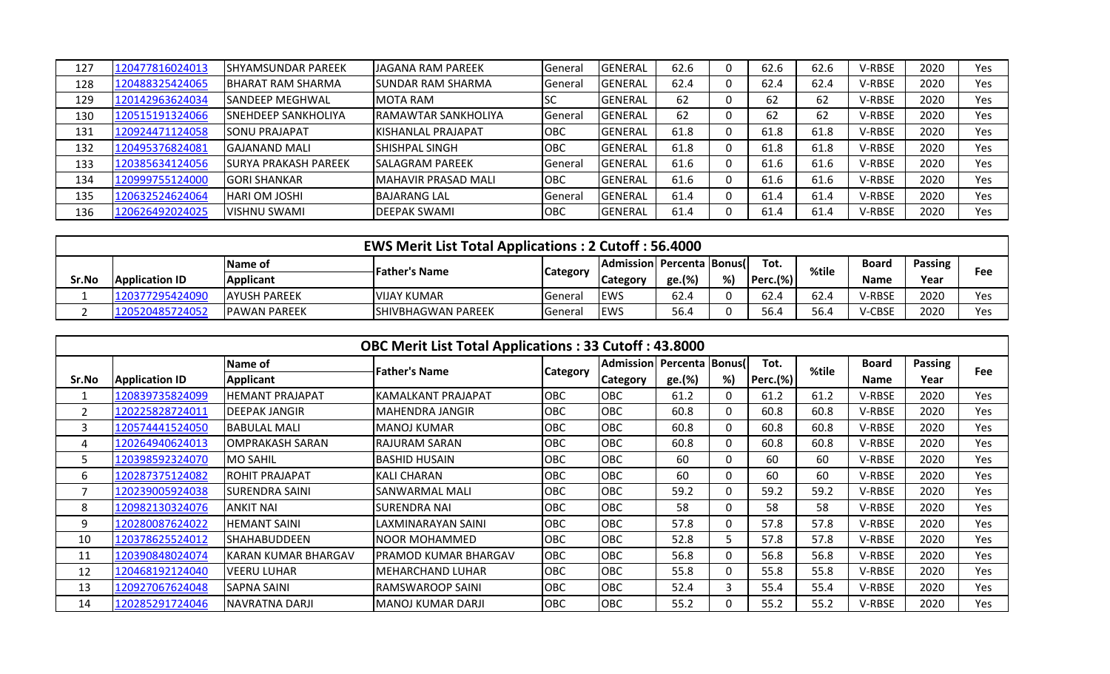| 127 | 120477816024013 | <b>SHYAMSUNDAR PAREEK</b>   | <b>JAGANA RAM PAREEK</b>   | General | <b>GENERAL</b>  | 62.6 | 62.6 | 62.6 | V-RBSE | 2020 | Yes |
|-----|-----------------|-----------------------------|----------------------------|---------|-----------------|------|------|------|--------|------|-----|
| 128 | 120488325424065 | BHARAT RAM SHARMA           | <b>SUNDAR RAM SHARMA</b>   | General | <b>IGENERAL</b> | 62.4 | 62.4 | 62.4 | V-RBSE | 2020 | Yes |
| 129 | 120142963624034 | <b>SANDEEP MEGHWAL</b>      | <b>IMOTA RAM</b>           | ıэc     | <b>GENERAL</b>  | 62   | 62   | 62   | V-RBSE | 2020 | Yes |
| 130 | 120515191324066 | <b>SNEHDEEP SANKHOLIYA</b>  | <b>RAMAWTAR SANKHOLIYA</b> | General | <b>IGENERAL</b> | 62   | 62   | 62   | V-RBSE | 2020 | Yes |
| 131 | 120924471124058 | <b>SONU PRAJAPAT</b>        | KISHANLAL PRAJAPAT         | OBC     | <b>IGENERAL</b> | 61.8 | 61.8 | 61.8 | V-RBSE | 2020 | Yes |
| 132 | 120495376824081 | IGAJANAND MALI              | <b>SHISHPAL SINGH</b>      | OBC     | <b>IGENERAL</b> | 61.8 | 61.8 | 61.8 | V-RBSE | 2020 | Yes |
| 133 | 120385634124056 | <b>SURYA PRAKASH PAREEK</b> | <b>SALAGRAM PAREEK</b>     | General | <b>IGENERAL</b> | 61.6 | 61.6 | 61.6 | V-RBSE | 2020 | Yes |
| 134 | 120999755124000 | <b>IGORI SHANKAR</b>        | MAHAVIR PRASAD MALI        | OBC     | <b>GENERAL</b>  | 61.6 | 61.6 | 61.6 | V-RBSE | 2020 | Yes |
| 135 | 120632524624064 | <b>HARI OM JOSHI</b>        | <b>BAJARANG LAL</b>        | General | <b>IGENERAL</b> | 61.4 | 61.4 | 61.4 | V-RBSE | 2020 | Yes |
| 136 | 120626492024025 | <b>VISHNU SWAMI</b>         | <b>DEEPAK SWAMI</b>        | OBC     | <b>GENERAL</b>  | 61.4 | 61.4 | 61.4 | V-RBSE | 2020 | Yes |

|       |                       |                      | <b>EWS Merit List Total Applications: 2 Cutoff: 56.4000</b> |                 |                             |        |    |              |       |              |         |     |
|-------|-----------------------|----------------------|-------------------------------------------------------------|-----------------|-----------------------------|--------|----|--------------|-------|--------------|---------|-----|
|       |                       | IName of             | <b>Father's Name</b>                                        |                 | Admission  Percenta  Bonus( |        |    | Tot.         | %tile | <b>Board</b> | Passing | Fee |
| Sr.No | <b>Application ID</b> | <b>Applicant</b>     |                                                             | <b>Category</b> | Category                    | ge.(%) | %) | $ $ Perc.(%) |       | Name         | Year    |     |
|       | 120377295424090       | <b>JAYUSH PAREEK</b> | <b>IVIJAY KUMAR</b>                                         | lGeneral        | <b>EWS</b>                  | 62.4   |    | 62.4         | 62.4  | V-RBSE       | 2020    | Yes |
|       | .20520485724052       | <b>IPAWAN PAREEK</b> | <b>ISHIVBHAGWAN PAREEK</b>                                  | <b>I</b> Genera | <b>EWS</b>                  | 56.4   |    | 56.4         | 56.4  | V-CBSE       | 2020    | Yes |

|       |                       |                        | <b>OBC Merit List Total Applications: 33 Cutoff: 43.8000</b> |                 |                                |        |          |                 |       |              |         |     |
|-------|-----------------------|------------------------|--------------------------------------------------------------|-----------------|--------------------------------|--------|----------|-----------------|-------|--------------|---------|-----|
|       |                       | Name of                | <b>Father's Name</b>                                         |                 | Admission   Percenta   Bonus ( |        |          | Tot.            | %tile | <b>Board</b> | Passing | Fee |
| Sr.No | <b>Application ID</b> | Applicant              |                                                              | <b>Category</b> | <b>Category</b>                | ge.(%) | %)       | <b>Perc.(%)</b> |       | <b>Name</b>  | Year    |     |
|       | 120839735824099       | <b>HEMANT PRAJAPAT</b> | KAMALKANT PRAJAPAT                                           | OBC             | <b>OBC</b>                     | 61.2   | 0        | 61.2            | 61.2  | V-RBSE       | 2020    | Yes |
| 2     | 120225828724011       | <b>DEEPAK JANGIR</b>   | IMAHENDRA JANGIR                                             | <b>OBC</b>      | <b>OBC</b>                     | 60.8   | 0        | 60.8            | 60.8  | V-RBSE       | 2020    | Yes |
| 3     | 120574441524050       | <b>BABULAL MALI</b>    | MANOJ KUMAR                                                  | OBC             | <b>OBC</b>                     | 60.8   | 0        | 60.8            | 60.8  | V-RBSE       | 2020    | Yes |
| 4     | 120264940624013       | <b>OMPRAKASH SARAN</b> | RAJURAM SARAN                                                | OBC             | <b>OBC</b>                     | 60.8   | 0        | 60.8            | 60.8  | V-RBSE       | 2020    | Yes |
| 5     | 120398592324070       | IMO SAHIL              | IBASHID HUSAIN                                               | <b>OBC</b>      | <b>OBC</b>                     | 60     | 0        | 60              | 60    | V-RBSE       | 2020    | Yes |
| 6     | 120287375124082       | <b>ROHIT PRAJAPAT</b>  | KALI CHARAN                                                  | OBC             | OBC                            | 60     | $\Omega$ | 60              | 60    | V-RBSE       | 2020    | Yes |
|       | 120239005924038       | SURENDRA SAINI         | SANWARMAL MALI                                               | OBC             | <b>OBC</b>                     | 59.2   | 0        | 59.2            | 59.2  | V-RBSE       | 2020    | Yes |
| 8     | 120982130324076       | <b>ANKIT NAI</b>       | ISURENDRA NAI                                                | <b>OBC</b>      | <b>OBC</b>                     | 58     | 0        | 58              | 58    | V-RBSE       | 2020    | Yes |
| 9     | 120280087624022       | <b>HEMANT SAINI</b>    | LAXMINARAYAN SAINI                                           | <b>OBC</b>      | <b>OBC</b>                     | 57.8   | 0        | 57.8            | 57.8  | V-RBSE       | 2020    | Yes |
| 10    | 120378625524012       | SHAHABUDDEEN           | NOOR MOHAMMED                                                | OBC             | <b>OBC</b>                     | 52.8   | 5.       | 57.8            | 57.8  | V-RBSE       | 2020    | Yes |
| 11    | 120390848024074       | KARAN KUMAR BHARGAV    | IPRAMOD KUMAR BHARGAV                                        | OBC             | <b>OBC</b>                     | 56.8   | 0        | 56.8            | 56.8  | V-RBSE       | 2020    | Yes |
| 12    | 120468192124040       | <b>VEERU LUHAR</b>     | MEHARCHAND LUHAR                                             | <b>OBC</b>      | <b>OBC</b>                     | 55.8   | 0        | 55.8            | 55.8  | V-RBSE       | 2020    | Yes |
| 13    | 120927067624048       | SAPNA SAINI            | RAMSWAROOP SAINI                                             | OBC             | OBC                            | 52.4   | 3        | 55.4            | 55.4  | V-RBSE       | 2020    | Yes |
| 14    | 120285291724046       | <b>NAVRATNA DARJI</b>  | MANOJ KUMAR DARJI                                            | OBC             | <b>OBC</b>                     | 55.2   | $\Omega$ | 55.2            | 55.2  | V-RBSE       | 2020    | Yes |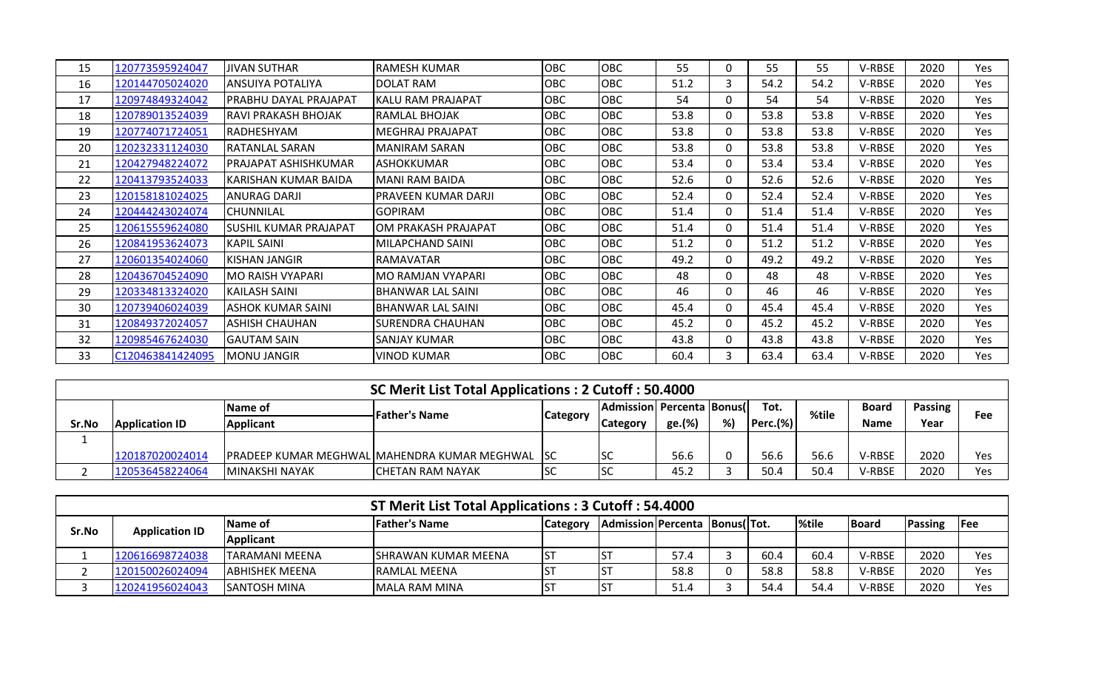| 15 | 120773595924047  | <b>JIVAN SUTHAR</b>      | RAMESH KUMAR             | OBC | OBC        | 55   | 0            | 55   | 55   | V-RBSE | 2020 | Yes |
|----|------------------|--------------------------|--------------------------|-----|------------|------|--------------|------|------|--------|------|-----|
| 16 | 120144705024020  | <b>ANSUIYA POTALIYA</b>  | DOLAT RAM                | OBC | <b>OBC</b> | 51.2 | 3            | 54.2 | 54.2 | V-RBSE | 2020 | Yes |
| 17 | 120974849324042  | PRABHU DAYAL PRAJAPAT    | KALU RAM PRAJAPAT        | OBC | <b>OBC</b> | 54   | 0            | 54   | 54   | V-RBSE | 2020 | Yes |
| 18 | 120789013524039  | RAVI PRAKASH BHOJAK      | RAMLAL BHOJAK            | OBC | <b>OBC</b> | 53.8 | $\mathbf{0}$ | 53.8 | 53.8 | V-RBSE | 2020 | Yes |
| 19 | 120774071724051  | RADHESHYAM               | <b>MEGHRAJ PRAJAPAT</b>  | OBC | <b>OBC</b> | 53.8 | 0            | 53.8 | 53.8 | V-RBSE | 2020 | Yes |
| 20 | 120232331124030  | <b>RATANLAL SARAN</b>    | <b>MANIRAM SARAN</b>     | OBC | <b>OBC</b> | 53.8 | 0            | 53.8 | 53.8 | V-RBSE | 2020 | Yes |
| 21 | 120427948224072  | PRAJAPAT ASHISHKUMAR     | <b>ASHOKKUMAR</b>        | OBC | <b>OBC</b> | 53.4 | 0            | 53.4 | 53.4 | V-RBSE | 2020 | Yes |
| 22 | 120413793524033  | KARISHAN KUMAR BAIDA     | IMANI RAM BAIDA          | OBC | <b>OBC</b> | 52.6 | $\mathbf{0}$ | 52.6 | 52.6 | V-RBSE | 2020 | Yes |
| 23 | 120158181024025  | <b>ANURAG DARJI</b>      | PRAVEEN KUMAR DARJI      | OBC | <b>OBC</b> | 52.4 | 0            | 52.4 | 52.4 | V-RBSE | 2020 | Yes |
| 24 | 120444243024074  | ICHUNNILAL               | <b>GOPIRAM</b>           | OBC | <b>OBC</b> | 51.4 | $\Omega$     | 51.4 | 51.4 | V-RBSE | 2020 | Yes |
| 25 | 120615559624080  | SUSHIL KUMAR PRAJAPAT    | OM PRAKASH PRAJAPAT      | OBC | <b>OBC</b> | 51.4 | 0            | 51.4 | 51.4 | V-RBSE | 2020 | Yes |
| 26 | 120841953624073  | <b>KAPIL SAINI</b>       | MILAPCHAND SAINI         | OBC | <b>OBC</b> | 51.2 | 0            | 51.2 | 51.2 | V-RBSE | 2020 | Yes |
| 27 | 120601354024060  | <b>KISHAN JANGIR</b>     | <b>RAMAVATAR</b>         | OBC | <b>OBC</b> | 49.2 | 0            | 49.2 | 49.2 | V-RBSE | 2020 | Yes |
| 28 | 120436704524090  | <b>MO RAISH VYAPARI</b>  | <b>MO RAMJAN VYAPARI</b> | OBC | <b>OBC</b> | 48   | 0            | 48   | 48   | V-RBSE | 2020 | Yes |
| 29 | 120334813324020  | KAILASH SAINI            | BHANWAR LAL SAINI        | OBC | <b>OBC</b> | 46   | 0            | 46   | 46   | V-RBSE | 2020 | Yes |
| 30 | 120739406024039  | <b>ASHOK KUMAR SAINI</b> | IBHANWAR LAL SAINI       | OBC | <b>OBC</b> | 45.4 | 0            | 45.4 | 45.4 | V-RBSE | 2020 | Yes |
| 31 | 120849372024057  | ASHISH CHAUHAN           | ISURENDRA CHAUHAN        | OBC | <b>OBC</b> | 45.2 | 0            | 45.2 | 45.2 | V-RBSE | 2020 | Yes |
| 32 | 120985467624030  | IGAUTAM SAIN             | SANJAY KUMAR             | OBC | <b>OBC</b> | 43.8 | 0            | 43.8 | 43.8 | V-RBSE | 2020 | Yes |
| 33 | C120463841424095 | <b>MONU JANGIR</b>       | <b>VINOD KUMAR</b>       | OBC | <b>OBC</b> | 60.4 | 3            | 63.4 | 63.4 | V-RBSE | 2020 | Yes |

|          | SC Merit List Total Applications: 2 Cutoff: 50.4000 |                  |                                                        |            |                                     |        |    |             |       |              |                |     |  |  |
|----------|-----------------------------------------------------|------------------|--------------------------------------------------------|------------|-------------------------------------|--------|----|-------------|-------|--------------|----------------|-----|--|--|
|          |                                                     | <b>Name of</b>   | <b>Father's Name</b>                                   |            | <b>IAdmission Percenta Bonus II</b> |        |    | Tot.        | %tile | <b>Board</b> | <b>Passing</b> | Fee |  |  |
| Sr.No    | <b>Application ID</b>                               | <b>Applicant</b> |                                                        | Category   | <b>Category</b>                     | ge.(%) | %) | $Perc.$ (%) |       | <b>Name</b>  | Year           |     |  |  |
| <b>.</b> |                                                     |                  |                                                        |            |                                     |        |    |             |       |              |                |     |  |  |
|          | 120187020024014                                     |                  | <b>PRADEEP KUMAR MEGHWAL MAHENDRA KUMAR MEGHWAL SC</b> |            | <b>SC</b>                           | 56.6   |    | 56.6        | 56.6  | V-RBSE       | 2020           | Yes |  |  |
|          | 120536458224064                                     | IMINAKSHI NAYAK  | ICHETAN RAM NAYAK                                      | <b>ISC</b> | <b>SC</b>                           | ے.45   |    | 50.4        | 50.4  | V-RBSE       | 2020           | Yes |  |  |

|       | ST Merit List Total Applications: 3 Cutoff: 54.4000 |                        |                      |                  |                                 |      |  |      |              |              |         |                |  |  |
|-------|-----------------------------------------------------|------------------------|----------------------|------------------|---------------------------------|------|--|------|--------------|--------------|---------|----------------|--|--|
| Sr.No | <b>Application ID</b>                               | lName of               | <b>Father's Name</b> | <b>Category</b>  | Admission Percenta  Bonus( Tot. |      |  |      | <b>%tile</b> | <b>Board</b> | Passing | $\textsf{Fee}$ |  |  |
|       |                                                     | <b>Applicant</b>       |                      |                  |                                 |      |  |      |              |              |         |                |  |  |
|       | 120616698724038                                     | ITARAMANI MEENA        | ISHRAWAN KUMAR MEENA | IS1              |                                 | 57.4 |  | 60.4 | 60.4         | V-RBSE       | 2020    | Yes            |  |  |
|       | 120150026024094                                     | <b>JABHISHEK MEENA</b> | <b>IRAMLAL MEENA</b> | $S^{\mathsf{c}}$ |                                 | 58.8 |  | 58.8 | 58.8         | V-RBSE       | 2020    | Yes            |  |  |
|       | 120241956024043                                     | <b>ISANTOSH MINA</b>   | MALA RAM MINA        | ls <sup>-</sup>  |                                 | 51.4 |  | 54.4 | 54.4         | V-RBSE       | 2020    | Yes            |  |  |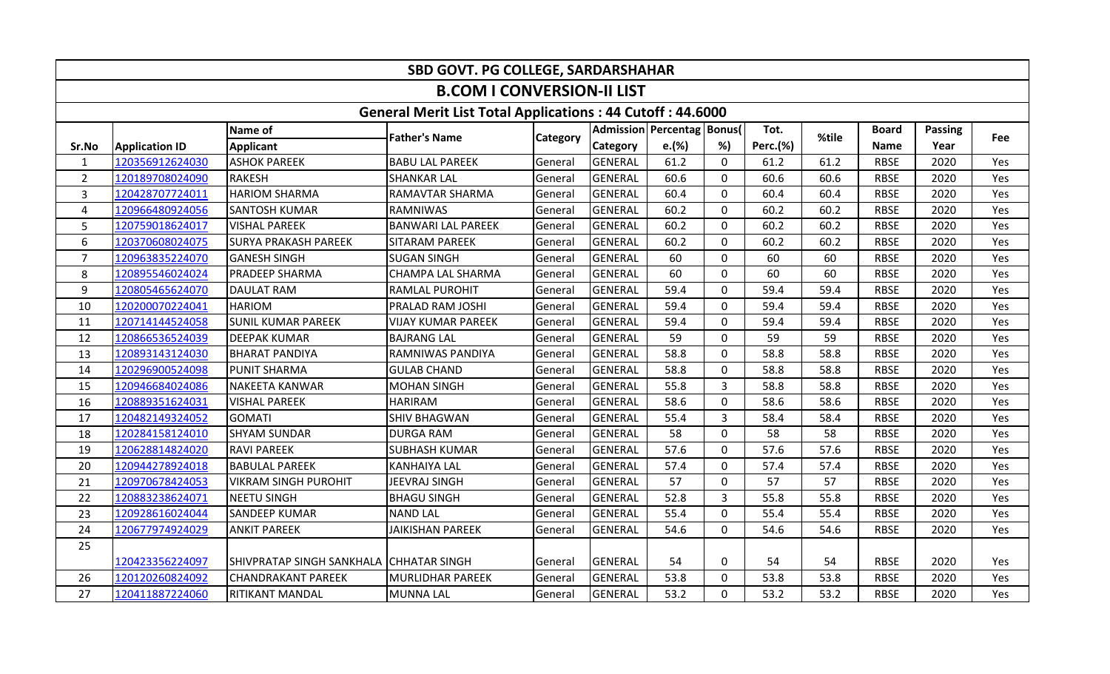|                |                                                                                                                                                                           |                                         | SBD GOVT. PG COLLEGE, SARDARSHAHAR                               |          |                 |                                |                |          |       |              |                |     |  |  |  |
|----------------|---------------------------------------------------------------------------------------------------------------------------------------------------------------------------|-----------------------------------------|------------------------------------------------------------------|----------|-----------------|--------------------------------|----------------|----------|-------|--------------|----------------|-----|--|--|--|
|                |                                                                                                                                                                           |                                         | <b>B.COM I CONVERSION-II LIST</b>                                |          |                 |                                |                |          |       |              |                |     |  |  |  |
|                |                                                                                                                                                                           |                                         | <b>General Merit List Total Applications: 44 Cutoff: 44.6000</b> |          |                 |                                |                |          |       |              |                |     |  |  |  |
|                |                                                                                                                                                                           | Name of                                 | <b>Father's Name</b>                                             |          |                 | Admission   Percentag   Bonus( |                | Tot.     | %tile | <b>Board</b> | <b>Passing</b> |     |  |  |  |
| Sr.No          | <b>Application ID</b>                                                                                                                                                     | <b>Applicant</b>                        |                                                                  | Category | <b>Category</b> | e.(%)                          | %)             | Perc.(%) |       | <b>Name</b>  | Year           | Fee |  |  |  |
| $\mathbf{1}$   | 120356912624030                                                                                                                                                           | <b>ASHOK PAREEK</b>                     | <b>BABU LAL PAREEK</b>                                           | General  | <b>GENERAL</b>  | 61.2                           | $\Omega$       | 61.2     | 61.2  | <b>RBSE</b>  | 2020           | Yes |  |  |  |
| $\overline{2}$ | 120189708024090                                                                                                                                                           | RAKESH                                  | <b>SHANKAR LAL</b>                                               | General  | <b>GENERAL</b>  | 60.6                           | $\mathbf 0$    | 60.6     | 60.6  | <b>RBSE</b>  | 2020           | Yes |  |  |  |
| 3              | 120428707724011                                                                                                                                                           | <b>HARIOM SHARMA</b>                    | RAMAVTAR SHARMA                                                  | General  | <b>GENERAL</b>  | 60.4                           | 0              | 60.4     | 60.4  | <b>RBSE</b>  | 2020           | Yes |  |  |  |
| 4              | 120966480924056                                                                                                                                                           | <b>SANTOSH KUMAR</b>                    | <b>RAMNIWAS</b>                                                  | General  | <b>GENERAL</b>  | 60.2                           | $\Omega$       | 60.2     | 60.2  | <b>RBSE</b>  | 2020           | Yes |  |  |  |
| 5              | 120759018624017                                                                                                                                                           | <b>VISHAL PAREEK</b>                    | <b>BANWARI LAL PAREEK</b>                                        | General  | <b>GENERAL</b>  | 60.2                           | $\mathbf 0$    | 60.2     | 60.2  | <b>RBSE</b>  | 2020           | Yes |  |  |  |
| 6              | 60.2<br>$\mathbf 0$<br>60.2<br>60.2<br><b>RBSE</b><br>2020<br>120370608024075<br><b>SURYA PRAKASH PAREEK</b><br><b>SITARAM PAREEK</b><br><b>GENERAL</b><br>Yes<br>General |                                         |                                                                  |          |                 |                                |                |          |       |              |                |     |  |  |  |
| $\overline{7}$ | <b>l</b> GANESH SINGH<br><b>SUGAN SINGH</b><br><b>GENERAL</b><br>60<br>$\mathbf 0$<br>60<br>60<br><b>RBSE</b><br>2020<br>Yes<br>120963835224070<br>General                |                                         |                                                                  |          |                 |                                |                |          |       |              |                |     |  |  |  |
| 8              | 60<br>60<br>60<br>120895546024024<br><b>PRADEEP SHARMA</b><br>CHAMPA LAL SHARMA<br><b>GENERAL</b><br>$\mathbf 0$<br><b>RBSE</b><br>2020<br>Yes<br>General                 |                                         |                                                                  |          |                 |                                |                |          |       |              |                |     |  |  |  |
| 9              | 59.4<br><b>GENERAL</b><br>$\mathbf 0$<br>59.4<br>59.4<br><b>RBSE</b><br>2020<br>120805465624070<br><b>DAULAT RAM</b><br><b>RAMLAL PUROHIT</b><br>Yes<br>General           |                                         |                                                                  |          |                 |                                |                |          |       |              |                |     |  |  |  |
| 10             | 120200070224041                                                                                                                                                           | <b>HARIOM</b>                           | PRALAD RAM JOSHI                                                 | General  | <b>GENERAL</b>  | 59.4                           | $\Omega$       | 59.4     | 59.4  | <b>RBSE</b>  | 2020           | Yes |  |  |  |
| 11             | 120714144524058                                                                                                                                                           | <b>SUNIL KUMAR PAREEK</b>               | <b>VIJAY KUMAR PAREEK</b>                                        | General  | <b>GENERAL</b>  | 59.4                           | $\mathbf 0$    | 59.4     | 59.4  | <b>RBSE</b>  | 2020           | Yes |  |  |  |
| 12             | 120866536524039                                                                                                                                                           | <b>DEEPAK KUMAR</b>                     | <b>BAJRANG LAL</b>                                               | General  | <b>GENERAL</b>  | 59                             | $\mathbf 0$    | 59       | 59    | <b>RBSE</b>  | 2020           | Yes |  |  |  |
| 13             | 120893143124030                                                                                                                                                           | <b>BHARAT PANDIYA</b>                   | RAMNIWAS PANDIYA                                                 | General  | <b>GENERAL</b>  | 58.8                           | $\mathbf{0}$   | 58.8     | 58.8  | <b>RBSE</b>  | 2020           | Yes |  |  |  |
| 14             | 120296900524098                                                                                                                                                           | <b>PUNIT SHARMA</b>                     | <b>GULAB CHAND</b>                                               | General  | <b>GENERAL</b>  | 58.8                           | $\mathbf 0$    | 58.8     | 58.8  | <b>RBSE</b>  | 2020           | Yes |  |  |  |
| 15             | 120946684024086                                                                                                                                                           | NAKEETA KANWAR                          | <b>MOHAN SINGH</b>                                               | General  | <b>GENERAL</b>  | 55.8                           | 3              | 58.8     | 58.8  | <b>RBSE</b>  | 2020           | Yes |  |  |  |
| 16             | 120889351624031                                                                                                                                                           | <b>VISHAL PAREEK</b>                    | <b>HARIRAM</b>                                                   | General  | <b>GENERAL</b>  | 58.6                           | $\mathbf 0$    | 58.6     | 58.6  | <b>RBSE</b>  | 2020           | Yes |  |  |  |
| 17             | 120482149324052                                                                                                                                                           | <b>GOMATI</b>                           | <b>SHIV BHAGWAN</b>                                              | General  | <b>GENERAL</b>  | 55.4                           | 3              | 58.4     | 58.4  | <b>RBSE</b>  | 2020           | Yes |  |  |  |
| 18             | 120284158124010                                                                                                                                                           | <b>SHYAM SUNDAR</b>                     | <b>DURGA RAM</b>                                                 | General  | <b>GENERAL</b>  | 58                             | $\mathbf 0$    | 58       | 58    | <b>RBSE</b>  | 2020           | Yes |  |  |  |
| 19             | 120628814824020                                                                                                                                                           | <b>RAVI PAREEK</b>                      | <b>SUBHASH KUMAR</b>                                             | General  | <b>GENERAL</b>  | 57.6                           | $\mathbf{0}$   | 57.6     | 57.6  | <b>RBSE</b>  | 2020           | Yes |  |  |  |
| 20             | 120944278924018                                                                                                                                                           | <b>BABULAL PAREEK</b>                   | <b>KANHAIYA LAL</b>                                              | General  | <b>GENERAL</b>  | 57.4                           | $\mathbf 0$    | 57.4     | 57.4  | <b>RBSE</b>  | 2020           | Yes |  |  |  |
| 21             | 120970678424053                                                                                                                                                           | <b>VIKRAM SINGH PUROHIT</b>             | <b>JEEVRAJ SINGH</b>                                             | General  | <b>GENERAL</b>  | 57                             | $\mathbf 0$    | 57       | 57    | <b>RBSE</b>  | 2020           | Yes |  |  |  |
| 22             | 120883238624071                                                                                                                                                           | NEETU SINGH                             | <b>BHAGU SINGH</b>                                               | General  | <b>GENERAL</b>  | 52.8                           | $\overline{3}$ | 55.8     | 55.8  | <b>RBSE</b>  | 2020           | Yes |  |  |  |
| 23             | 120928616024044                                                                                                                                                           | <b>SANDEEP KUMAR</b>                    | <b>NAND LAL</b>                                                  | General  | <b>GENERAL</b>  | 55.4                           | $\mathbf 0$    | 55.4     | 55.4  | <b>RBSE</b>  | 2020           | Yes |  |  |  |
| 24             | 120677974924029                                                                                                                                                           | <b>ANKIT PAREEK</b>                     | <b>JAIKISHAN PAREEK</b>                                          | General  | <b>GENERAL</b>  | 54.6                           | $\Omega$       | 54.6     | 54.6  | <b>RBSE</b>  | 2020           | Yes |  |  |  |
| 25             |                                                                                                                                                                           |                                         |                                                                  |          |                 |                                |                |          |       |              |                |     |  |  |  |
|                | 120423356224097                                                                                                                                                           | SHIVPRATAP SINGH SANKHALA CHHATAR SINGH |                                                                  | General  | <b>GENERAL</b>  | 54                             | 0              | 54       | 54    | <b>RBSE</b>  | 2020           | Yes |  |  |  |
| 26             | 120120260824092                                                                                                                                                           | <b>CHANDRAKANT PAREEK</b>               | <b>MURLIDHAR PAREEK</b>                                          | General  | <b>GENERAL</b>  | 53.8                           | $\Omega$       | 53.8     | 53.8  | <b>RBSE</b>  | 2020           | Yes |  |  |  |
| 27             | 120411887224060                                                                                                                                                           | <b>RITIKANT MANDAL</b>                  | <b>MUNNA LAL</b>                                                 | General  | GENERAL         | 53.2                           | $\mathbf{0}$   | 53.2     | 53.2  | <b>RBSE</b>  | 2020           | Yes |  |  |  |